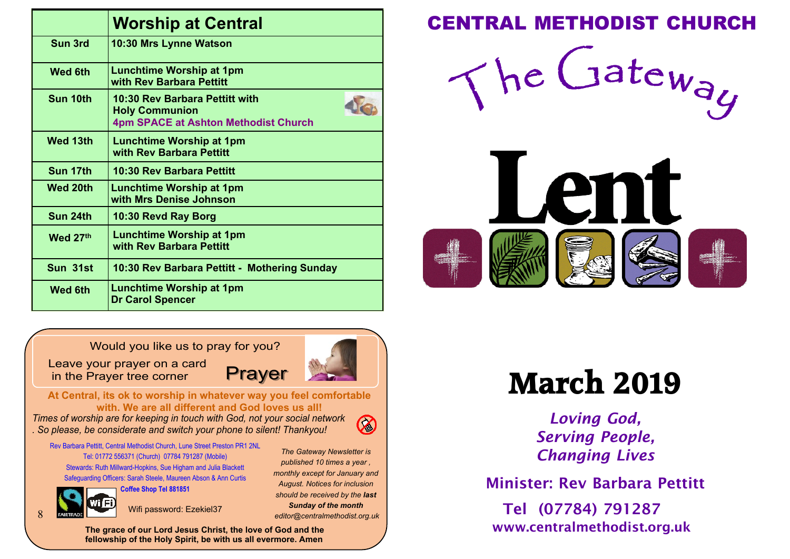|                 | <b>Worship at Central</b>                                                                       |
|-----------------|-------------------------------------------------------------------------------------------------|
| Sun 3rd         | 10:30 Mrs Lynne Watson                                                                          |
| <b>Wed 6th</b>  | <b>Lunchtime Worship at 1pm</b><br>with Rev Barbara Pettitt                                     |
| Sun 10th        | 10:30 Rev Barbara Pettitt with<br><b>Holy Communion</b><br>4pm SPACE at Ashton Methodist Church |
| <b>Wed 13th</b> | Lunchtime Worship at 1pm<br>with Rev Barbara Pettitt                                            |
| Sun 17th        | 10:30 Rev Barbara Pettitt                                                                       |
| <b>Wed 20th</b> | Lunchtime Worship at 1pm<br>with Mrs Denise Johnson                                             |
| Sun 24th        | 10:30 Revd Ray Borg                                                                             |
| Wed 27th        | <b>Lunchtime Worship at 1pm</b><br>with Rev Barbara Pettitt                                     |
| Sun 31st        | 10:30 Rev Barbara Pettitt - Mothering Sunday                                                    |
| <b>Wed 6th</b>  | <b>Lunchtime Worship at 1pm</b><br><b>Dr Carol Spencer</b>                                      |

### **Worship at Central CENTRAL METHODIST CHURCH**

The Gateway

Len

Would you like us to pray for you?

Leave your prayer on a card in the Prayer tree corner



*The Gateway Newsletter is published 10 times a year , monthly except for January and August. Notices for inclusion should be received by the last Sunday of the month editor@centralmethodist.org.uk*

 $\oslash$ 

**At Central, its ok to worship in whatever way you feel comfortable with. We are all different and God loves us all!**

*Times of worship are for keeping in touch with God, not your social network . So please, be considerate and switch your phone to silent! Thankyou!*

Rev Barbara Pettitt, Central Methodist Church, Lune Street Preston PR1 2NL Tel: 01772 556371 (Church) 07784 791287 (Mobile) Stewards: Ruth Millward-Hopkins, Sue Higham and Julia Blackett Safeguarding Officers: Sarah Steele, Maureen Abson & Ann Curtis

**Coffee Shop Tel 881851**

8

Wifi password: Ezekiel37

**The grace of our Lord Jesus Christ, the love of God and the fellowship of the Holy Spirit, be with us all evermore. Amen**

# **March 2019**

*Loving God, Serving People, Changing Lives*

Minister: Rev Barbara Pettitt

Tel (07784) 791287 www.centralmethodist.org.uk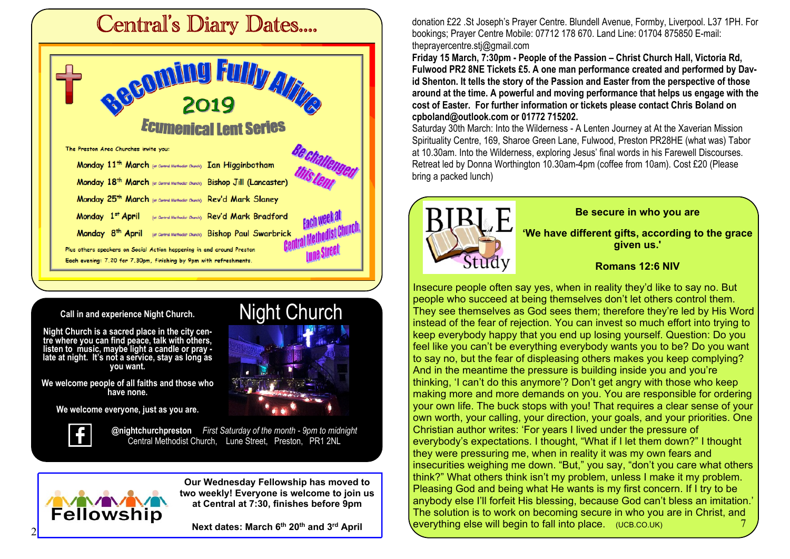

### **Call in and experience Night Church.**

**Night Church is a sacred place in the city centre where you can find peace, talk with others, listen to music, maybe light a candle or pray late at night. It's not a service, stay as long as you want.**

**We welcome people of all faiths and those who have none.**

**We welcome everyone, just as you are.**



**NAVEVAVA**<br>Fellowship

**@nightchurchpreston** *First Saturday of the month - 9pm to midnight* Central Methodist Church, Lune Street, Preston, PR1 2NL

> **Our Wednesday Fellowship has moved to two weekly! Everyone is welcome to join us at Central at 7:30, finishes before 9pm**

Night Church

**Next dates: March 6th 20th and 3rd April**

donation £22 .St Joseph's Prayer Centre. Blundell Avenue, Formby, Liverpool. L37 1PH. For bookings; Prayer Centre Mobile: 07712 178 670. Land Line: 01704 875850 E-mail: theprayercentre.stj@gmail.com

**Friday 15 March, 7:30pm - People of the Passion – Christ Church Hall, Victoria Rd, Fulwood PR2 8NE Tickets £5. A one man performance created and performed by David Shenton. It tells the story of the Passion and Easter from the perspective of those around at the time. A powerful and moving performance that helps us engage with the cost of Easter. For further information or tickets please contact Chris Boland on cpboland@outlook.com or 01772 715202.**

Saturday 30th March: Into the Wilderness - A Lenten Journey at At the Xaverian Mission Spirituality Centre, 169, Sharoe Green Lane, Fulwood, Preston PR28HE (what was) Tabor at 10.30am. Into the Wilderness, exploring Jesus' final words in his Farewell Discourses. Retreat led by Donna Worthington 10.30am-4pm (coffee from 10am). Cost £20 (Please bring a packed lunch)



Insecure people often say yes, when in reality they'd like to say no. But people who succeed at being themselves don't let others control them. They see themselves as God sees them; therefore they're led by His Word instead of the fear of rejection. You can invest so much effort into trying to keep everybody happy that you end up losing yourself. Question: Do you feel like you can't be everything everybody wants you to be? Do you want to say no, but the fear of displeasing others makes you keep complying? And in the meantime the pressure is building inside you and you're thinking, 'I can't do this anymore'? Don't get angry with those who keep making more and more demands on you. You are responsible for ordering your own life. The buck stops with you! That requires a clear sense of your own worth, your calling, your direction, your goals, and your priorities. One Christian author writes: 'For years I lived under the pressure of everybody's expectations. I thought, "What if I let them down?" I thought they were pressuring me, when in reality it was my own fears and insecurities weighing me down. "But," you say, "don't you care what others think?" What others think isn't my problem, unless I make it my problem. Pleasing God and being what He wants is my first concern. If I try to be anybody else I'll forfeit His blessing, because God can't bless an imitation.' The solution is to work on becoming secure in who you are in Christ, and everything else will begin to fall into place. (UCB.CO.UK) 7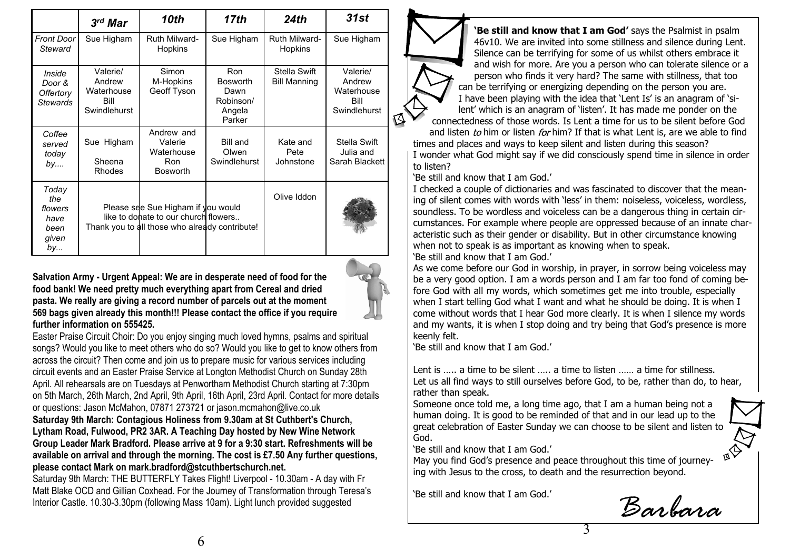|                                                        | $3rd$ Mar                                                                                                                    | 10th                                                          | 17th                                                                   | 24th                                | 31st                                                     |
|--------------------------------------------------------|------------------------------------------------------------------------------------------------------------------------------|---------------------------------------------------------------|------------------------------------------------------------------------|-------------------------------------|----------------------------------------------------------|
| Front Door<br>Steward                                  | Sue Higham                                                                                                                   | <b>Ruth Milward-</b><br>Hopkins                               | Sue Higham                                                             | <b>Ruth Milward-</b><br>Hopkins     | Sue Higham                                               |
| Inside<br>Door &<br>Offertory<br><b>Stewards</b>       | Valerie/<br>Andrew<br>Waterhouse<br>Bill<br>Swindlehurst                                                                     | Simon<br>M-Hopkins<br>Geoff Tyson                             | <b>Ron</b><br><b>Bosworth</b><br>Dawn<br>Robinson/<br>Angela<br>Parker | Stella Swift<br><b>Bill Manning</b> | Valerie/<br>Andrew<br>Waterhouse<br>Bill<br>Swindlehurst |
| Coffee<br>served<br>today<br>by                        | Sue Higham<br>Sheena<br>Rhodes                                                                                               | Andrew and<br>Valerie<br>Waterhouse<br>Ron<br><b>Bosworth</b> | <b>Bill and</b><br>Olwen<br>Swindlehurst                               | Kate and<br>Pete<br>Johnstone       | Stella Swift<br>Julia and<br>Sarah Blackett              |
| Today<br>the<br>flowers<br>have<br>been<br>given<br>by | Please see Sue Higham if you would<br>like to donate to our church flowers<br>Thank you to all those who already contribute! |                                                               |                                                                        | Olive Iddon                         |                                                          |

**Salvation Army - Urgent Appeal: We are in desperate need of food for the food bank! We need pretty much everything apart from Cereal and dried pasta. We really are giving a record number of parcels out at the moment 569 bags given already this month!!! Please contact the office if you require further information on 555425.**

Easter Praise Circuit Choir: Do you enjoy singing much loved hymns, psalms and spiritual songs? Would you like to meet others who do so? Would you like to get to know others from across the circuit? Then come and join us to prepare music for various services including circuit events and an Easter Praise Service at Longton Methodist Church on Sunday 28th April. All rehearsals are on Tuesdays at Penwortham Methodist Church starting at 7:30pm on 5th March, 26th March, 2nd April, 9th April, 16th April, 23rd April. Contact for more details or questions: Jason McMahon, 07871 273721 or jason.mcmahon@live.co.uk **Saturday 9th March: Contagious Holiness from 9.30am at St Cuthbert's Church, Lytham Road, Fulwood, PR2 3AR. A Teaching Day hosted by New Wine Network Group Leader Mark Bradford. Please arrive at 9 for a 9:30 start. Refreshments will be available on arrival and through the morning. The cost is £7.50 Any further questions, please contact Mark on mark.bradford@stcuthbertschurch.net.**

Saturday 9th March: THE BUTTERFLY Takes Flight! Liverpool - 10.30am - A day with Fr Matt Blake OCD and Gillian Coxhead. For the Journey of Transformation through Teresa's Interior Castle. 10.30-3.30pm (following Mass 10am). Light lunch provided suggested

**'Be still and know that I am God'** says the Psalmist in psalm 46v10. We are invited into some stillness and silence during Lent. Silence can be terrifying for some of us whilst others embrace it and wish for more. Are you a person who can tolerate silence or a person who finds it very hard? The same with stillness, that too can be terrifying or energizing depending on the person you are. I have been playing with the idea that 'Lent Is' is an anagram of 'silent' which is an anagram of 'listen'. It has made me ponder on the connectedness of those words. Is Lent a time for us to be silent before God

and listen to him or listen for him? If that is what Lent is, are we able to find times and places and ways to keep silent and listen during this season?

I wonder what God might say if we did consciously spend time in silence in order to listen?

'Be still and know that I am God.'

I checked a couple of dictionaries and was fascinated to discover that the meaning of silent comes with words with 'less' in them: noiseless, voiceless, wordless, soundless. To be wordless and voiceless can be a dangerous thing in certain circumstances. For example where people are oppressed because of an innate characteristic such as their gender or disability. But in other circumstance knowing when not to speak is as important as knowing when to speak.

'Be still and know that I am God.'

As we come before our God in worship, in prayer, in sorrow being voiceless may be a very good option. I am a words person and I am far too fond of coming before God with all my words, which sometimes get me into trouble, especially when I start telling God what I want and what he should be doing. It is when I come without words that I hear God more clearly. It is when I silence my words and my wants, it is when I stop doing and try being that God's presence is more keenly felt.

'Be still and know that I am God.'

Lent is ..... a time to be silent ..... a time to listen ...... a time for stillness. Let us all find ways to still ourselves before God, to be, rather than do, to hear, rather than speak.

Someone once told me, a long time ago, that I am a human being not a human doing. It is good to be reminded of that and in our lead up to the great celebration of Easter Sunday we can choose to be silent and listen to God.

'Be still and know that I am God.'

May you find God's presence and peace throughout this time of journeying with Jesus to the cross, to death and the resurrection beyond.

'Be still and know that I am God.'

*Barbara*

3